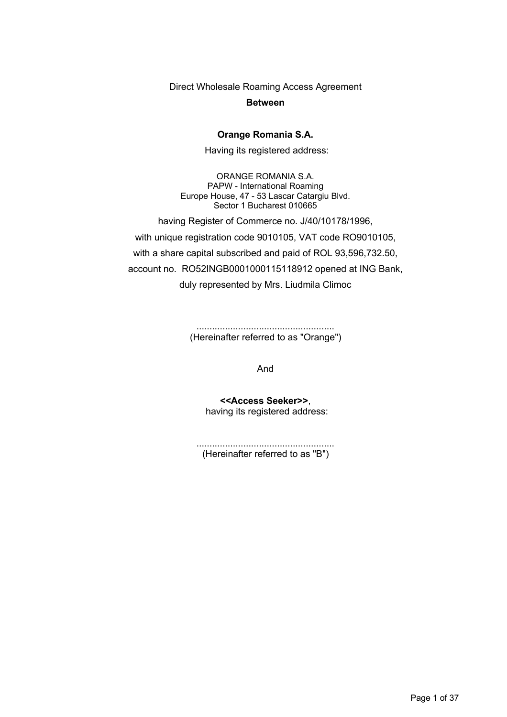Direct Wholesale Roaming Access Agreement

**Between**

#### **Orange Romania S.A.**

Having its registered address:

ORANGE ROMANIA S.A. PAPW - International Roaming Europe House, 47 - 53 Lascar Catargiu Blvd. Sector 1 Bucharest 010665

having Register of Commerce no. J/40/10178/1996,

with unique registration code 9010105, VAT code RO9010105, with a share capital subscribed and paid of ROL 93,596,732.50, account no. RO52INGB0001000115118912 opened at ING Bank, duly represented by Mrs. Liudmila Climoc

> ..................................................... (Hereinafter referred to as "Orange")

> > And

**<<Access Seeker>>**, having its registered address:

..................................................... (Hereinafter referred to as "B")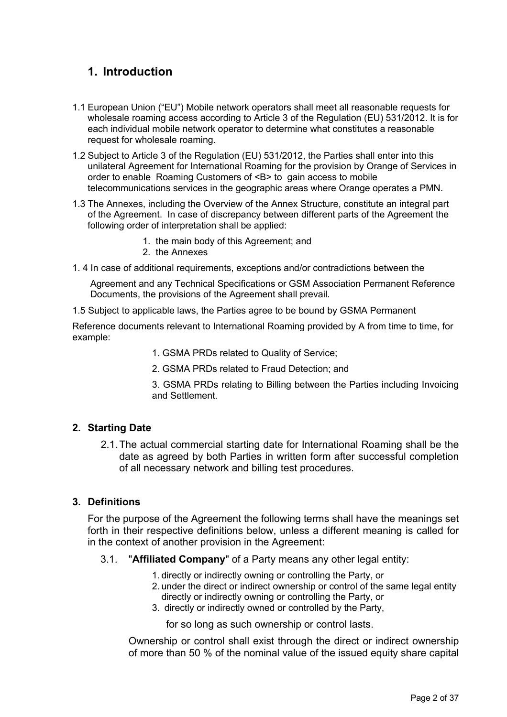# **1. Introduction**

- 1.1 European Union ("EU") Mobile network operators shall meet all reasonable requests for wholesale roaming access according to Article 3 of the Regulation (EU) 531/2012. It is for each individual mobile network operator to determine what constitutes a reasonable request for wholesale roaming.
- 1.2 Subject to Article 3 of the Regulation (EU) 531/2012, the Parties shall enter into this unilateral Agreement for International Roaming for the provision by Orange of Services in order to enable Roaming Customers of <B> to gain access to mobile telecommunications services in the geographic areas where Orange operates a PMN.
- 1.3 The Annexes, including the Overview of the Annex Structure, constitute an integral part of the Agreement. In case of discrepancy between different parts of the Agreement the following order of interpretation shall be applied:
	- 1. the main body of this Agreement; and
	- 2. the Annexes
- 1. 4 In case of additional requirements, exceptions and/or contradictions between the

Agreement and any Technical Specifications or GSM Association Permanent Reference Documents, the provisions of the Agreement shall prevail.

1.5 Subject to applicable laws, the Parties agree to be bound by GSMA Permanent

Reference documents relevant to International Roaming provided by A from time to time, for example:

- 1. GSMA PRDs related to Quality of Service;
- 2. GSMA PRDs related to Fraud Detection; and
- 3. GSMA PRDs relating to Billing between the Parties including Invoicing and Settlement.

### **2. Starting Date**

2.1.The actual commercial starting date for International Roaming shall be the date as agreed by both Parties in written form after successful completion of all necessary network and billing test procedures.

### **3. Definitions**

For the purpose of the Agreement the following terms shall have the meanings set forth in their respective definitions below, unless a different meaning is called for in the context of another provision in the Agreement:

- 3.1. "**Affiliated Company**" of a Party means any other legal entity:
	- 1. directly or indirectly owning or controlling the Party, or
	- 2. under the direct or indirect ownership or control of the same legal entity directly or indirectly owning or controlling the Party, or
	- 3. directly or indirectly owned or controlled by the Party,

for so long as such ownership or control lasts.

Ownership or control shall exist through the direct or indirect ownership of more than 50 % of the nominal value of the issued equity share capital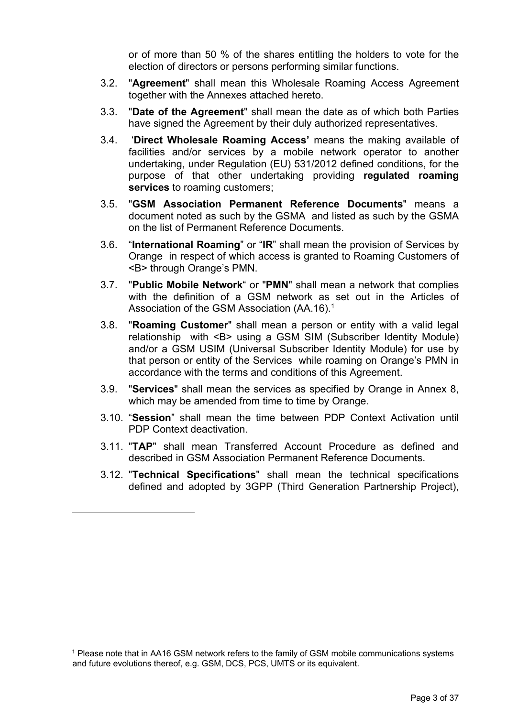or of more than 50 % of the shares entitling the holders to vote for the election of directors or persons performing similar functions.

- 3.2. "**Agreement**" shall mean this Wholesale Roaming Access Agreement together with the Annexes attached hereto.
- 3.3. "**Date of the Agreement**" shall mean the date as of which both Parties have signed the Agreement by their duly authorized representatives.
- 3.4. '**Direct Wholesale Roaming Access'** means the making available of facilities and/or services by a mobile network operator to another undertaking, under Regulation (EU) 531/2012 defined conditions, for the purpose of that other undertaking providing **regulated roaming services** to roaming customers;
- 3.5. "**GSM Association Permanent Reference Documents**" means a document noted as such by the GSMA and listed as such by the GSMA on the list of Permanent Reference Documents.
- 3.6. "**International Roaming**" or "**IR**" shall mean the provision of Services by Orange in respect of which access is granted to Roaming Customers of <B> through Orange's PMN.
- 3.7. "**Public Mobile Network**" or "**PMN**" shall mean a network that complies with the definition of a GSM network as set out in the Articles of Association of the GSM Association (AA.16).<sup>1</sup>
- 3.8. "**Roaming Customer**" shall mean a person or entity with a valid legal relationship with <B> using a GSM SIM (Subscriber Identity Module) and/or a GSM USIM (Universal Subscriber Identity Module) for use by that person or entity of the Services while roaming on Orange's PMN in accordance with the terms and conditions of this Agreement.
- 3.9. "**Services**" shall mean the services as specified by Orange in Annex 8, which may be amended from time to time by Orange.
- 3.10. "**Session**" shall mean the time between PDP Context Activation until PDP Context deactivation.
- 3.11. "**TAP**" shall mean Transferred Account Procedure as defined and described in GSM Association Permanent Reference Documents.
- 3.12. "**Technical Specifications**" shall mean the technical specifications defined and adopted by 3GPP (Third Generation Partnership Project),

<sup>&</sup>lt;sup>1</sup> Please note that in AA16 GSM network refers to the family of GSM mobile communications systems and future evolutions thereof, e.g. GSM, DCS, PCS, UMTS or its equivalent.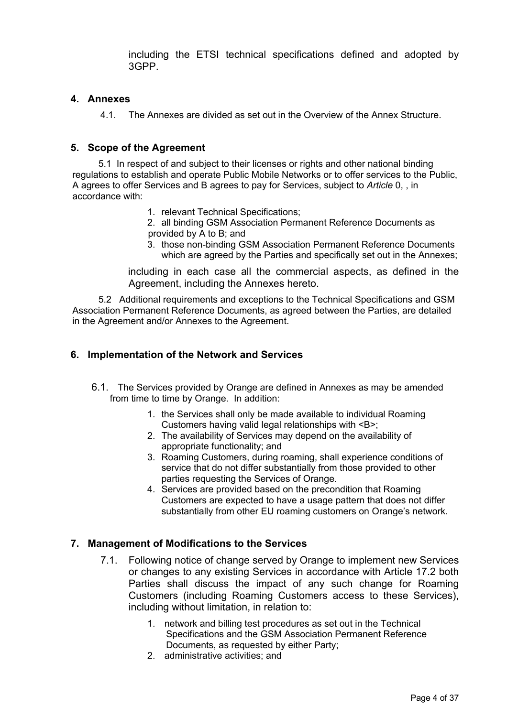including the ETSI technical specifications defined and adopted by 3GPP.

### **4. Annexes**

4.1. The Annexes are divided as set out in the Overview of the Annex Structure.

### **5. Scope of the Agreement**

 5.1 In respect of and subject to their licenses or rights and other national binding regulations to establish and operate Public Mobile Networks or to offer services to the Public, A agrees to offer Services and B agrees to pay for Services, subject to *Article* 0, , in accordance with:

1. relevant Technical Specifications;

2. all binding GSM Association Permanent Reference Documents as provided by A to B; and

3. those non-binding GSM Association Permanent Reference Documents which are agreed by the Parties and specifically set out in the Annexes;

including in each case all the commercial aspects, as defined in the Agreement, including the Annexes hereto.

 5.2 Additional requirements and exceptions to the Technical Specifications and GSM Association Permanent Reference Documents, as agreed between the Parties, are detailed in the Agreement and/or Annexes to the Agreement.

### **6. Implementation of the Network and Services**

- 6.1. The Services provided by Orange are defined in Annexes as may be amended from time to time by Orange. In addition:
	- 1. the Services shall only be made available to individual Roaming Customers having valid legal relationships with <B>;
	- 2. The availability of Services may depend on the availability of appropriate functionality; and
	- 3. Roaming Customers, during roaming, shall experience conditions of service that do not differ substantially from those provided to other parties requesting the Services of Orange.
	- 4. Services are provided based on the precondition that Roaming Customers are expected to have a usage pattern that does not differ substantially from other EU roaming customers on Orange's network.

### **7. Management of Modifications to the Services**

- 7.1. Following notice of change served by Orange to implement new Services or changes to any existing Services in accordance with Article 17.2 both Parties shall discuss the impact of any such change for Roaming Customers (including Roaming Customers access to these Services), including without limitation, in relation to:
	- 1. network and billing test procedures as set out in the Technical Specifications and the GSM Association Permanent Reference Documents, as requested by either Party;
	- 2. administrative activities; and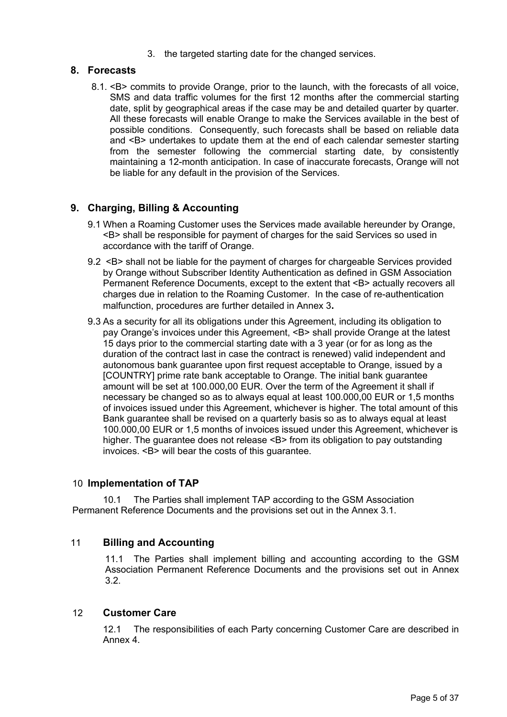3. the targeted starting date for the changed services.

### **8. Forecasts**

8.1. <B> commits to provide Orange, prior to the launch, with the forecasts of all voice, SMS and data traffic volumes for the first 12 months after the commercial starting date, split by geographical areas if the case may be and detailed quarter by quarter. All these forecasts will enable Orange to make the Services available in the best of possible conditions. Consequently, such forecasts shall be based on reliable data and <B> undertakes to update them at the end of each calendar semester starting from the semester following the commercial starting date, by consistently maintaining a 12-month anticipation. In case of inaccurate forecasts, Orange will not be liable for any default in the provision of the Services.

## **9. Charging, Billing & Accounting**

- 9.1 When a Roaming Customer uses the Services made available hereunder by Orange, <B> shall be responsible for payment of charges for the said Services so used in accordance with the tariff of Orange.
- 9.2 <B> shall not be liable for the payment of charges for chargeable Services provided by Orange without Subscriber Identity Authentication as defined in GSM Association Permanent Reference Documents, except to the extent that <B> actually recovers all charges due in relation to the Roaming Customer. In the case of re-authentication malfunction, procedures are further detailed in Annex 3**.**
- 9.3 As a security for all its obligations under this Agreement, including its obligation to pay Orange's invoices under this Agreement, <B> shall provide Orange at the latest 15 days prior to the commercial starting date with a 3 year (or for as long as the duration of the contract last in case the contract is renewed) valid independent and autonomous bank guarantee upon first request acceptable to Orange, issued by a [COUNTRY] prime rate bank acceptable to Orange. The initial bank guarantee amount will be set at 100.000,00 EUR. Over the term of the Agreement it shall if necessary be changed so as to always equal at least 100.000,00 EUR or 1,5 months of invoices issued under this Agreement, whichever is higher. The total amount of this Bank guarantee shall be revised on a quarterly basis so as to always equal at least 100.000,00 EUR or 1,5 months of invoices issued under this Agreement, whichever is higher. The guarantee does not release <B> from its obligation to pay outstanding invoices. <B> will bear the costs of this guarantee.

#### 10 **Implementation of TAP**

10.1 The Parties shall implement TAP according to the GSM Association Permanent Reference Documents and the provisions set out in the Annex 3.1.

### 11 **Billing and Accounting**

11.1 The Parties shall implement billing and accounting according to the GSM Association Permanent Reference Documents and the provisions set out in Annex 3.2.

#### 12 **Customer Care**

12.1 The responsibilities of each Party concerning Customer Care are described in Annex 4.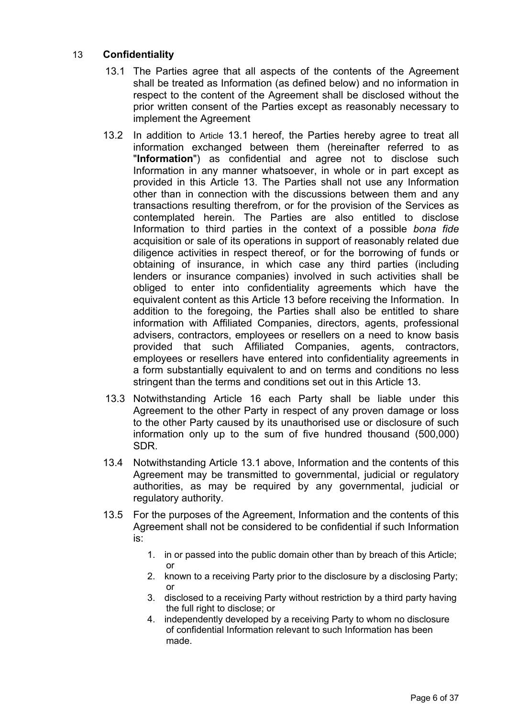## 13 **Confidentiality**

- 13.1 The Parties agree that all aspects of the contents of the Agreement shall be treated as Information (as defined below) and no information in respect to the content of the Agreement shall be disclosed without the prior written consent of the Parties except as reasonably necessary to implement the Agreement
- 13.2 In addition to Article 13.1 hereof, the Parties hereby agree to treat all information exchanged between them (hereinafter referred to as "**Information**") as confidential and agree not to disclose such Information in any manner whatsoever, in whole or in part except as provided in this Article 13. The Parties shall not use any Information other than in connection with the discussions between them and any transactions resulting therefrom, or for the provision of the Services as contemplated herein. The Parties are also entitled to disclose Information to third parties in the context of a possible *bona fide* acquisition or sale of its operations in support of reasonably related due diligence activities in respect thereof, or for the borrowing of funds or obtaining of insurance, in which case any third parties (including lenders or insurance companies) involved in such activities shall be obliged to enter into confidentiality agreements which have the equivalent content as this Article 13 before receiving the Information. In addition to the foregoing, the Parties shall also be entitled to share information with Affiliated Companies, directors, agents, professional advisers, contractors, employees or resellers on a need to know basis provided that such Affiliated Companies, agents, contractors, employees or resellers have entered into confidentiality agreements in a form substantially equivalent to and on terms and conditions no less stringent than the terms and conditions set out in this Article 13.
- 13.3 Notwithstanding Article 16 each Party shall be liable under this Agreement to the other Party in respect of any proven damage or loss to the other Party caused by its unauthorised use or disclosure of such information only up to the sum of five hundred thousand (500,000) SDR.
- 13.4 Notwithstanding Article 13.1 above, Information and the contents of this Agreement may be transmitted to governmental, judicial or regulatory authorities, as may be required by any governmental, judicial or regulatory authority.
- 13.5 For the purposes of the Agreement, Information and the contents of this Agreement shall not be considered to be confidential if such Information is:
	- 1. in or passed into the public domain other than by breach of this Article; or
	- 2. known to a receiving Party prior to the disclosure by a disclosing Party; or
	- 3. disclosed to a receiving Party without restriction by a third party having the full right to disclose; or
	- 4. independently developed by a receiving Party to whom no disclosure of confidential Information relevant to such Information has been made.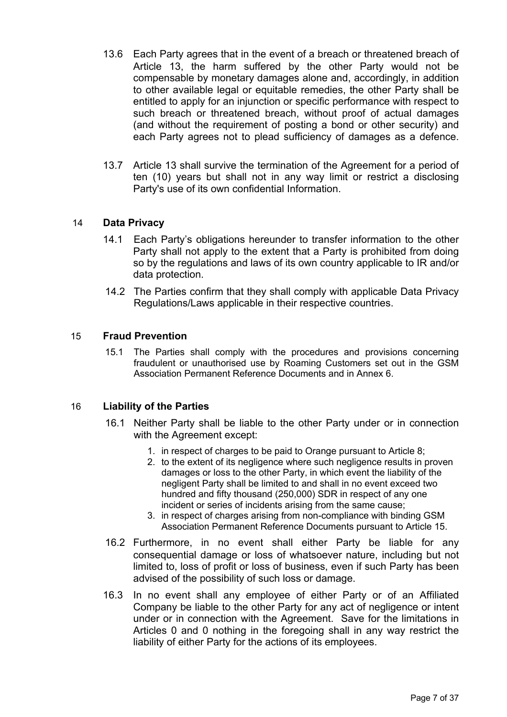- 13.6 Each Party agrees that in the event of a breach or threatened breach of Article 13, the harm suffered by the other Party would not be compensable by monetary damages alone and, accordingly, in addition to other available legal or equitable remedies, the other Party shall be entitled to apply for an injunction or specific performance with respect to such breach or threatened breach, without proof of actual damages (and without the requirement of posting a bond or other security) and each Party agrees not to plead sufficiency of damages as a defence.
- 13.7 Article 13 shall survive the termination of the Agreement for a period of ten (10) years but shall not in any way limit or restrict a disclosing Party's use of its own confidential Information.

### 14 **Data Privacy**

- 14.1 Each Party's obligations hereunder to transfer information to the other Party shall not apply to the extent that a Party is prohibited from doing so by the regulations and laws of its own country applicable to IR and/or data protection.
- 14.2 The Parties confirm that they shall comply with applicable Data Privacy Regulations/Laws applicable in their respective countries.

#### 15 **Fraud Prevention**

15.1 The Parties shall comply with the procedures and provisions concerning fraudulent or unauthorised use by Roaming Customers set out in the GSM Association Permanent Reference Documents and in Annex 6.

#### 16 **Liability of the Parties**

- 16.1 Neither Party shall be liable to the other Party under or in connection with the Agreement except:
	- 1. in respect of charges to be paid to Orange pursuant to Article 8;
	- 2. to the extent of its negligence where such negligence results in proven damages or loss to the other Party, in which event the liability of the negligent Party shall be limited to and shall in no event exceed two hundred and fifty thousand (250,000) SDR in respect of any one incident or series of incidents arising from the same cause;
	- 3. in respect of charges arising from non-compliance with binding GSM Association Permanent Reference Documents pursuant to Article 15.
- 16.2 Furthermore, in no event shall either Party be liable for any consequential damage or loss of whatsoever nature, including but not limited to, loss of profit or loss of business, even if such Party has been advised of the possibility of such loss or damage.
- 16.3 In no event shall any employee of either Party or of an Affiliated Company be liable to the other Party for any act of negligence or intent under or in connection with the Agreement. Save for the limitations in Articles 0 and 0 nothing in the foregoing shall in any way restrict the liability of either Party for the actions of its employees.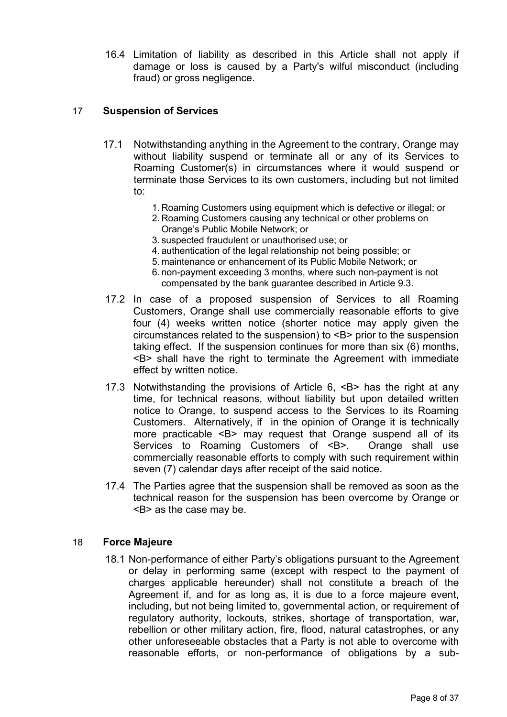16.4 Limitation of liability as described in this Article shall not apply if damage or loss is caused by a Party's wilful misconduct (including fraud) or gross negligence.

## 17 **Suspension of Services**

- 17.1 Notwithstanding anything in the Agreement to the contrary, Orange may without liability suspend or terminate all or any of its Services to Roaming Customer(s) in circumstances where it would suspend or terminate those Services to its own customers, including but not limited to:
	- 1. Roaming Customers using equipment which is defective or illegal; or
	- 2. Roaming Customers causing any technical or other problems on Orange's Public Mobile Network; or
	- 3. suspected fraudulent or unauthorised use; or
	- 4. authentication of the legal relationship not being possible; or
	- 5. maintenance or enhancement of its Public Mobile Network; or
	- 6. non-payment exceeding 3 months, where such non-payment is not compensated by the bank guarantee described in Article 9.3.
- 17.2 In case of a proposed suspension of Services to all Roaming Customers, Orange shall use commercially reasonable efforts to give four (4) weeks written notice (shorter notice may apply given the circumstances related to the suspension) to <B> prior to the suspension taking effect. If the suspension continues for more than six (6) months, <B> shall have the right to terminate the Agreement with immediate effect by written notice.
- 17.3 Notwithstanding the provisions of Article 6, <B> has the right at any time, for technical reasons, without liability but upon detailed written notice to Orange, to suspend access to the Services to its Roaming Customers. Alternatively, if in the opinion of Orange it is technically more practicable <B> may request that Orange suspend all of its Services to Roaming Customers of <B>. Orange shall use commercially reasonable efforts to comply with such requirement within seven (7) calendar days after receipt of the said notice.
- 17.4 The Parties agree that the suspension shall be removed as soon as the technical reason for the suspension has been overcome by Orange or <B> as the case may be.

### 18 **Force Majeure**

18.1 Non-performance of either Party's obligations pursuant to the Agreement or delay in performing same (except with respect to the payment of charges applicable hereunder) shall not constitute a breach of the Agreement if, and for as long as, it is due to a force majeure event, including, but not being limited to, governmental action, or requirement of regulatory authority, lockouts, strikes, shortage of transportation, war, rebellion or other military action, fire, flood, natural catastrophes, or any other unforeseeable obstacles that a Party is not able to overcome with reasonable efforts, or non-performance of obligations by a sub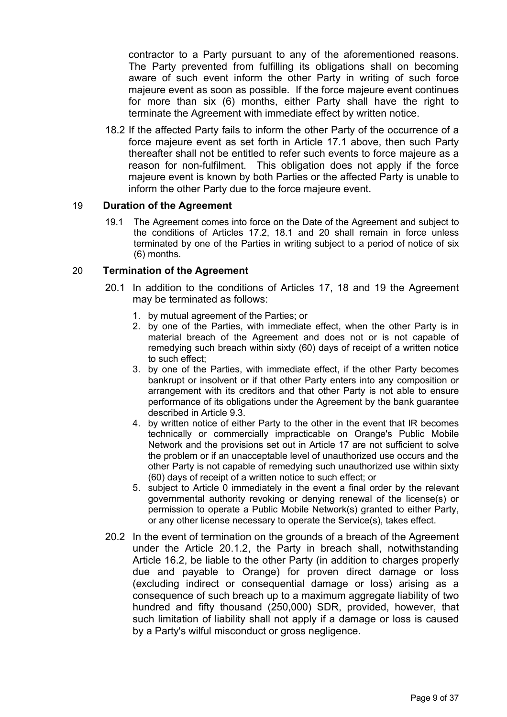contractor to a Party pursuant to any of the aforementioned reasons. The Party prevented from fulfilling its obligations shall on becoming aware of such event inform the other Party in writing of such force majeure event as soon as possible. If the force majeure event continues for more than six (6) months, either Party shall have the right to terminate the Agreement with immediate effect by written notice.

18.2 If the affected Party fails to inform the other Party of the occurrence of a force majeure event as set forth in Article 17.1 above, then such Party thereafter shall not be entitled to refer such events to force majeure as a reason for non-fulfilment. This obligation does not apply if the force majeure event is known by both Parties or the affected Party is unable to inform the other Party due to the force majeure event.

### 19 **Duration of the Agreement**

19.1 The Agreement comes into force on the Date of the Agreement and subject to the conditions of Articles 17.2, 18.1 and 20 shall remain in force unless terminated by one of the Parties in writing subject to a period of notice of six (6) months.

### 20 **Termination of the Agreement**

- 20.1 In addition to the conditions of Articles 17, 18 and 19 the Agreement may be terminated as follows:
	- 1. by mutual agreement of the Parties; or
	- 2. by one of the Parties, with immediate effect, when the other Party is in material breach of the Agreement and does not or is not capable of remedying such breach within sixty (60) days of receipt of a written notice to such effect;
	- 3. by one of the Parties, with immediate effect, if the other Party becomes bankrupt or insolvent or if that other Party enters into any composition or arrangement with its creditors and that other Party is not able to ensure performance of its obligations under the Agreement by the bank guarantee described in Article 9.3.
	- 4. by written notice of either Party to the other in the event that IR becomes technically or commercially impracticable on Orange's Public Mobile Network and the provisions set out in Article 17 are not sufficient to solve the problem or if an unacceptable level of unauthorized use occurs and the other Party is not capable of remedying such unauthorized use within sixty (60) days of receipt of a written notice to such effect; or
	- 5. subject to Article 0 immediately in the event a final order by the relevant governmental authority revoking or denying renewal of the license(s) or permission to operate a Public Mobile Network(s) granted to either Party, or any other license necessary to operate the Service(s), takes effect.
- 20.2 In the event of termination on the grounds of a breach of the Agreement under the Article 20.1.2, the Party in breach shall, notwithstanding Article 16.2, be liable to the other Party (in addition to charges properly due and payable to Orange) for proven direct damage or loss (excluding indirect or consequential damage or loss) arising as a consequence of such breach up to a maximum aggregate liability of two hundred and fifty thousand (250,000) SDR, provided, however, that such limitation of liability shall not apply if a damage or loss is caused by a Party's wilful misconduct or gross negligence.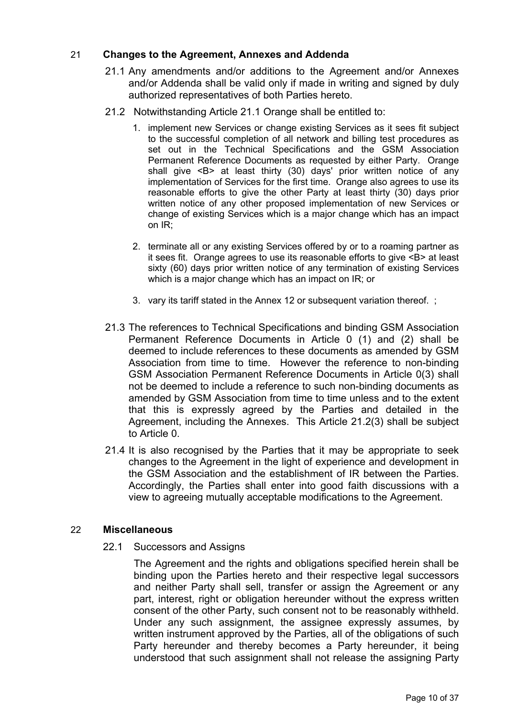## 21 **Changes to the Agreement, Annexes and Addenda**

- 21.1 Any amendments and/or additions to the Agreement and/or Annexes and/or Addenda shall be valid only if made in writing and signed by duly authorized representatives of both Parties hereto.
- 21.2 Notwithstanding Article 21.1 Orange shall be entitled to:
	- 1. implement new Services or change existing Services as it sees fit subject to the successful completion of all network and billing test procedures as set out in the Technical Specifications and the GSM Association Permanent Reference Documents as requested by either Party. Orange shall give <B> at least thirty (30) days' prior written notice of any implementation of Services for the first time. Orange also agrees to use its reasonable efforts to give the other Party at least thirty (30) days prior written notice of any other proposed implementation of new Services or change of existing Services which is a major change which has an impact on IR;
	- 2. terminate all or any existing Services offered by or to a roaming partner as it sees fit. Orange agrees to use its reasonable efforts to give <B> at least sixty (60) days prior written notice of any termination of existing Services which is a major change which has an impact on IR; or
	- 3. vary its tariff stated in the Annex 12 or subsequent variation thereof. ;
- 21.3 The references to Technical Specifications and binding GSM Association Permanent Reference Documents in Article 0 (1) and (2) shall be deemed to include references to these documents as amended by GSM Association from time to time. However the reference to non-binding GSM Association Permanent Reference Documents in Article 0(3) shall not be deemed to include a reference to such non-binding documents as amended by GSM Association from time to time unless and to the extent that this is expressly agreed by the Parties and detailed in the Agreement, including the Annexes. This Article 21.2(3) shall be subject to Article 0.
- 21.4 It is also recognised by the Parties that it may be appropriate to seek changes to the Agreement in the light of experience and development in the GSM Association and the establishment of IR between the Parties. Accordingly, the Parties shall enter into good faith discussions with a view to agreeing mutually acceptable modifications to the Agreement.

### 22 **Miscellaneous**

22.1 Successors and Assigns

The Agreement and the rights and obligations specified herein shall be binding upon the Parties hereto and their respective legal successors and neither Party shall sell, transfer or assign the Agreement or any part, interest, right or obligation hereunder without the express written consent of the other Party, such consent not to be reasonably withheld. Under any such assignment, the assignee expressly assumes, by written instrument approved by the Parties, all of the obligations of such Party hereunder and thereby becomes a Party hereunder, it being understood that such assignment shall not release the assigning Party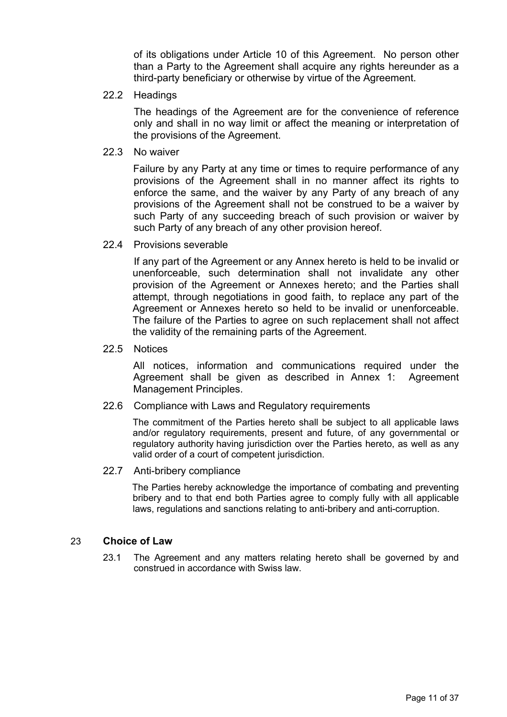of its obligations under Article 10 of this Agreement. No person other than a Party to the Agreement shall acquire any rights hereunder as a third-party beneficiary or otherwise by virtue of the Agreement.

22.2 Headings

The headings of the Agreement are for the convenience of reference only and shall in no way limit or affect the meaning or interpretation of the provisions of the Agreement.

22.3 No waiver

Failure by any Party at any time or times to require performance of any provisions of the Agreement shall in no manner affect its rights to enforce the same, and the waiver by any Party of any breach of any provisions of the Agreement shall not be construed to be a waiver by such Party of any succeeding breach of such provision or waiver by such Party of any breach of any other provision hereof.

22.4 Provisions severable

If any part of the Agreement or any Annex hereto is held to be invalid or unenforceable, such determination shall not invalidate any other provision of the Agreement or Annexes hereto; and the Parties shall attempt, through negotiations in good faith, to replace any part of the Agreement or Annexes hereto so held to be invalid or unenforceable. The failure of the Parties to agree on such replacement shall not affect the validity of the remaining parts of the Agreement.

22.5 Notices

All notices, information and communications required under the Agreement shall be given as described in Annex 1: Agreement Management Principles.

22.6 Compliance with Laws and Regulatory requirements

The commitment of the Parties hereto shall be subject to all applicable laws and/or regulatory requirements, present and future, of any governmental or regulatory authority having jurisdiction over the Parties hereto, as well as any valid order of a court of competent jurisdiction.

22.7 Anti-bribery compliance

The Parties hereby acknowledge the importance of combating and preventing bribery and to that end both Parties agree to comply fully with all applicable laws, regulations and sanctions relating to anti-bribery and anti-corruption.

### 23 **Choice of Law**

23.1 The Agreement and any matters relating hereto shall be governed by and construed in accordance with Swiss law.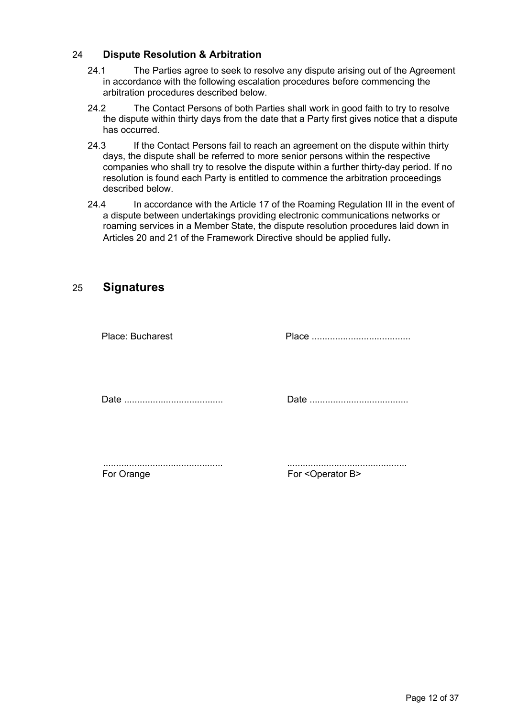### 24 **Dispute Resolution & Arbitration**

- 24.1 The Parties agree to seek to resolve any dispute arising out of the Agreement in accordance with the following escalation procedures before commencing the arbitration procedures described below.
- 24.2 The Contact Persons of both Parties shall work in good faith to try to resolve the dispute within thirty days from the date that a Party first gives notice that a dispute has occurred.
- 24.3 If the Contact Persons fail to reach an agreement on the dispute within thirty days, the dispute shall be referred to more senior persons within the respective companies who shall try to resolve the dispute within a further thirty-day period. If no resolution is found each Party is entitled to commence the arbitration proceedings described below.
- 24.4 In accordance with the Article 17 of the Roaming Regulation III in the event of a dispute between undertakings providing electronic communications networks or roaming services in a Member State, the dispute resolution procedures laid down in Articles 20 and 21 of the Framework Directive should be applied fully**.**

## 25 **Signatures**

| <b>Place: Bucharest</b> |  |
|-------------------------|--|
|                         |  |
|                         |  |
|                         |  |
|                         |  |
|                         |  |
|                         |  |
|                         |  |
|                         |  |

For Orange For <Operator B>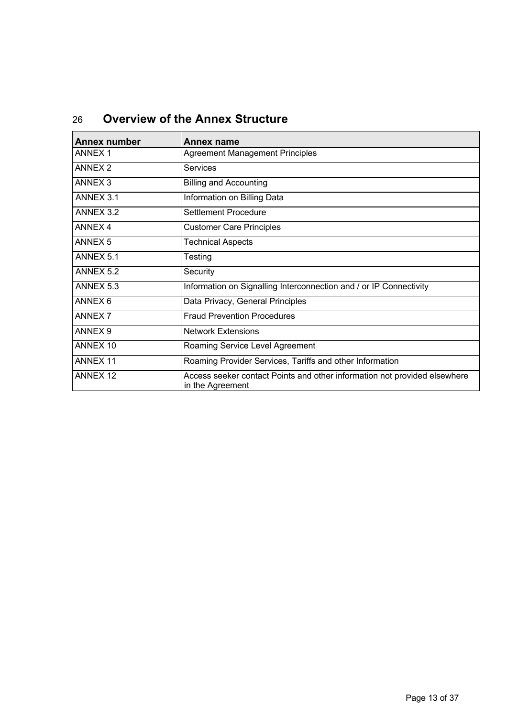| <b>Annex number</b> | Annex name                                                                                    |
|---------------------|-----------------------------------------------------------------------------------------------|
| <b>ANNEX 1</b>      | <b>Agreement Management Principles</b>                                                        |
| ANNEX <sub>2</sub>  | Services                                                                                      |
| <b>ANNEX 3</b>      | <b>Billing and Accounting</b>                                                                 |
| ANNEX 3.1           | Information on Billing Data                                                                   |
| ANNEX 3.2           | Settlement Procedure                                                                          |
| <b>ANNEX 4</b>      | <b>Customer Care Principles</b>                                                               |
| <b>ANNEX 5</b>      | <b>Technical Aspects</b>                                                                      |
| ANNEX 5.1           | Testing                                                                                       |
| ANNEX 5.2           | Security                                                                                      |
| ANNEX 5.3           | Information on Signalling Interconnection and / or IP Connectivity                            |
| ANNEX <sub>6</sub>  | Data Privacy, General Principles                                                              |
| <b>ANNEX 7</b>      | <b>Fraud Prevention Procedures</b>                                                            |
| ANNEX <sub>9</sub>  | <b>Network Extensions</b>                                                                     |
| ANNEX 10            | Roaming Service Level Agreement                                                               |
| <b>ANNEX 11</b>     | Roaming Provider Services, Tariffs and other Information                                      |
| <b>ANNEX 12</b>     | Access seeker contact Points and other information not provided elsewhere<br>in the Agreement |

# 26 **Overview of the Annex Structure**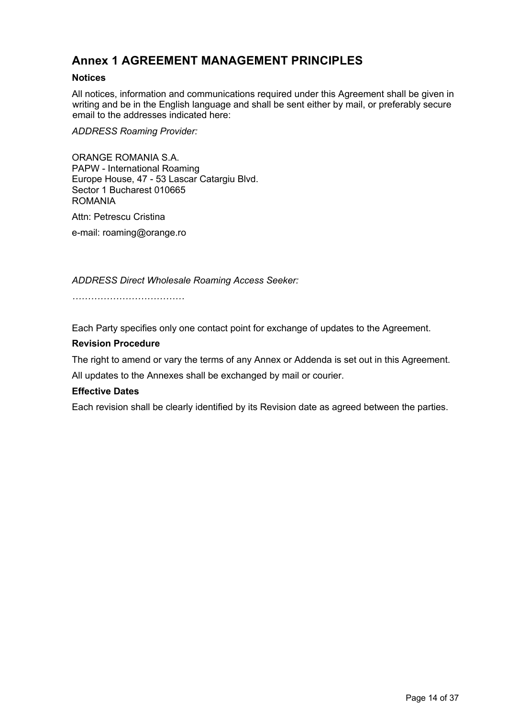# **Annex 1 AGREEMENT MANAGEMENT PRINCIPLES**

### **Notices**

All notices, information and communications required under this Agreement shall be given in writing and be in the English language and shall be sent either by mail, or preferably secure email to the addresses indicated here:

*ADDRESS Roaming Provider:*

ORANGE ROMANIA S.A. PAPW - International Roaming Europe House, 47 - 53 Lascar Catargiu Blvd. Sector 1 Bucharest 010665 ROMANIA

Attn: Petrescu Cristina

e-mail: roaming@orange.ro

*ADDRESS Direct Wholesale Roaming Access Seeker:*

*………………………………*

Each Party specifies only one contact point for exchange of updates to the Agreement.

#### **Revision Procedure**

The right to amend or vary the terms of any Annex or Addenda is set out in this Agreement. All updates to the Annexes shall be exchanged by mail or courier.

#### **Effective Dates**

Each revision shall be clearly identified by its Revision date as agreed between the parties.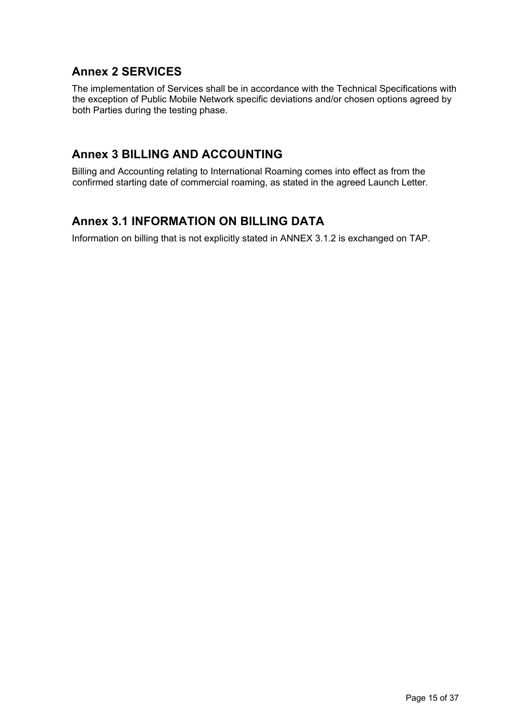# **Annex 2 SERVICES**

The implementation of Services shall be in accordance with the Technical Specifications with the exception of Public Mobile Network specific deviations and/or chosen options agreed by both Parties during the testing phase.

# **Annex 3 BILLING AND ACCOUNTING**

Billing and Accounting relating to International Roaming comes into effect as from the confirmed starting date of commercial roaming, as stated in the agreed Launch Letter.

# **Annex 3.1 INFORMATION ON BILLING DATA**

Information on billing that is not explicitly stated in ANNEX 3.1.2 is exchanged on TAP.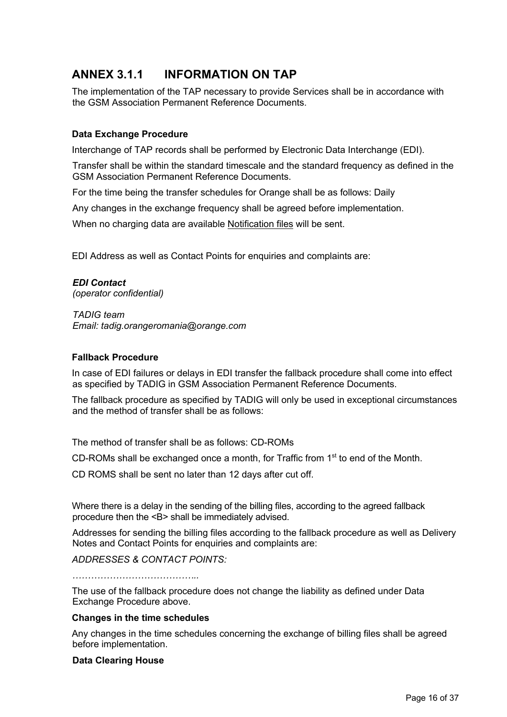# **ANNEX 3.1.1 INFORMATION ON TAP**

The implementation of the TAP necessary to provide Services shall be in accordance with the GSM Association Permanent Reference Documents.

### **Data Exchange Procedure**

Interchange of TAP records shall be performed by Electronic Data Interchange (EDI).

Transfer shall be within the standard timescale and the standard frequency as defined in the GSM Association Permanent Reference Documents.

For the time being the transfer schedules for Orange shall be as follows: Daily

Any changes in the exchange frequency shall be agreed before implementation.

When no charging data are available Notification files will be sent.

EDI Address as well as Contact Points for enquiries and complaints are:

# *EDI Contact*

*(operator confidential)*

*TADIG team Email: tadig.orangeromania@orange.com*

### **Fallback Procedure**

In case of EDI failures or delays in EDI transfer the fallback procedure shall come into effect as specified by TADIG in GSM Association Permanent Reference Documents.

The fallback procedure as specified by TADIG will only be used in exceptional circumstances and the method of transfer shall be as follows:

The method of transfer shall be as follows: CD-ROMs

CD-ROMs shall be exchanged once a month, for Traffic from  $1<sup>st</sup>$  to end of the Month.

CD ROMS shall be sent no later than 12 days after cut off.

Where there is a delay in the sending of the billing files, according to the agreed fallback procedure then the <B> shall be immediately advised.

Addresses for sending the billing files according to the fallback procedure as well as Delivery Notes and Contact Points for enquiries and complaints are:

*ADDRESSES & CONTACT POINTS:*

*…………………………………..*

The use of the fallback procedure does not change the liability as defined under Data Exchange Procedure above.

#### **Changes in the time schedules**

Any changes in the time schedules concerning the exchange of billing files shall be agreed before implementation.

#### **Data Clearing House**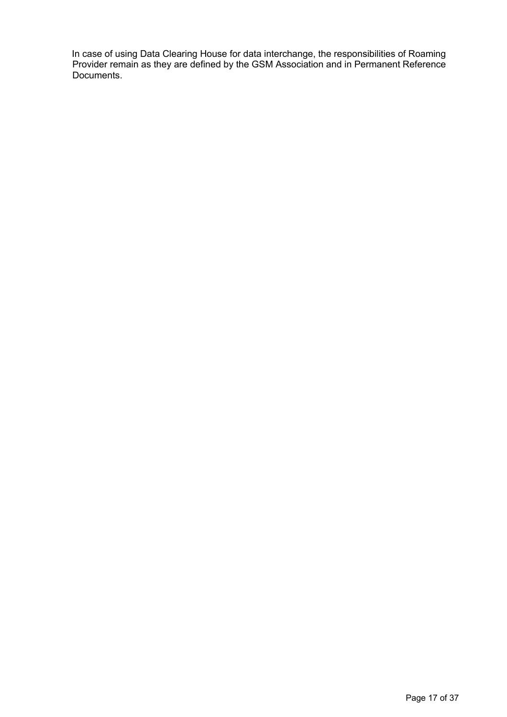In case of using Data Clearing House for data interchange, the responsibilities of Roaming Provider remain as they are defined by the GSM Association and in Permanent Reference Documents.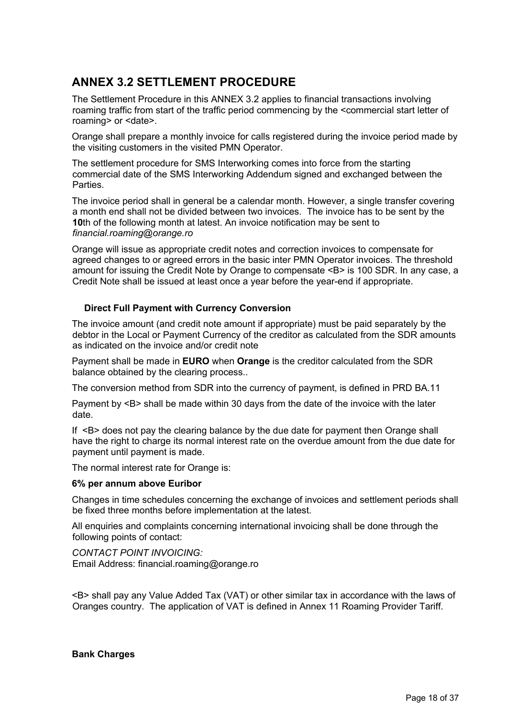# **ANNEX 3.2 SETTLEMENT PROCEDURE**

The Settlement Procedure in this ANNEX 3.2 applies to financial transactions involving roaming traffic from start of the traffic period commencing by the <commercial start letter of roaming> or <date>.

Orange shall prepare a monthly invoice for calls registered during the invoice period made by the visiting customers in the visited PMN Operator.

The settlement procedure for SMS Interworking comes into force from the starting commercial date of the SMS Interworking Addendum signed and exchanged between the **Parties** 

The invoice period shall in general be a calendar month. However, a single transfer covering a month end shall not be divided between two invoices. The invoice has to be sent by the **10**th of the following month at latest. An invoice notification may be sent to *financial.roaming@orange.ro*

Orange will issue as appropriate credit notes and correction invoices to compensate for agreed changes to or agreed errors in the basic inter PMN Operator invoices. The threshold amount for issuing the Credit Note by Orange to compensate <B> is 100 SDR. In any case, a Credit Note shall be issued at least once a year before the year-end if appropriate.

### **Direct Full Payment with Currency Conversion**

The invoice amount (and credit note amount if appropriate) must be paid separately by the debtor in the Local or Payment Currency of the creditor as calculated from the SDR amounts as indicated on the invoice and/or credit note

Payment shall be made in **EURO** when **Orange** is the creditor calculated from the SDR balance obtained by the clearing process..

The conversion method from SDR into the currency of payment, is defined in PRD BA.11

Payment by <B> shall be made within 30 days from the date of the invoice with the later date.

If <B> does not pay the clearing balance by the due date for payment then Orange shall have the right to charge its normal interest rate on the overdue amount from the due date for payment until payment is made.

The normal interest rate for Orange is:

#### **6% per annum above Euribor**

Changes in time schedules concerning the exchange of invoices and settlement periods shall be fixed three months before implementation at the latest.

All enquiries and complaints concerning international invoicing shall be done through the following points of contact:

*CONTACT POINT INVOICING:* Email Address: financial.roaming@orange.ro

<B> shall pay any Value Added Tax (VAT) or other similar tax in accordance with the laws of Oranges country. The application of VAT is defined in Annex 11 Roaming Provider Tariff.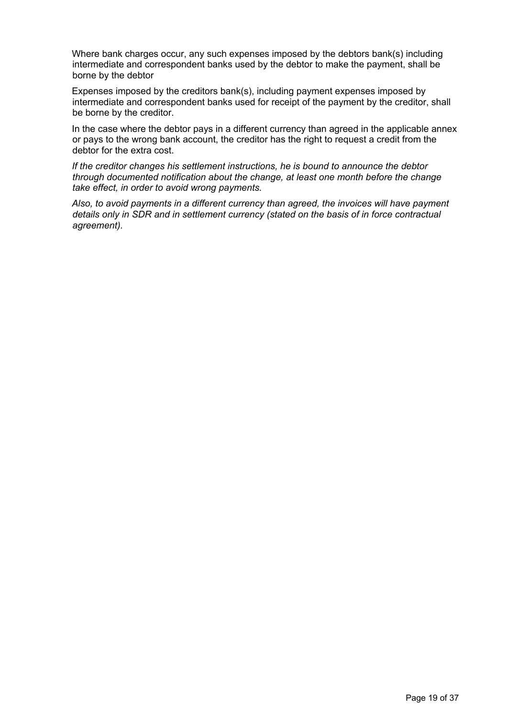Where bank charges occur, any such expenses imposed by the debtors bank(s) including intermediate and correspondent banks used by the debtor to make the payment, shall be borne by the debtor

Expenses imposed by the creditors bank(s), including payment expenses imposed by intermediate and correspondent banks used for receipt of the payment by the creditor, shall be borne by the creditor.

In the case where the debtor pays in a different currency than agreed in the applicable annex or pays to the wrong bank account, the creditor has the right to request a credit from the debtor for the extra cost.

*If the creditor changes his settlement instructions, he is bound to announce the debtor through documented notification about the change, at least one month before the change take effect, in order to avoid wrong payments.*

*Also, to avoid payments in a different currency than agreed, the invoices will have payment details only in SDR and in settlement currency (stated on the basis of in force contractual agreement).*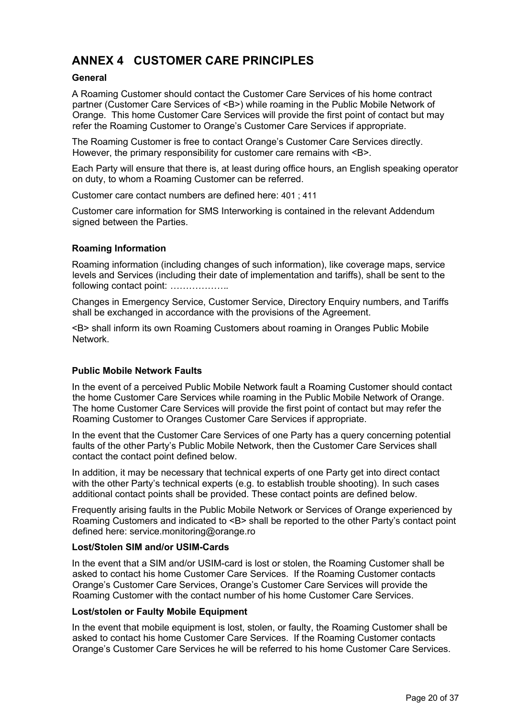# **ANNEX 4 CUSTOMER CARE PRINCIPLES**

#### **General**

A Roaming Customer should contact the Customer Care Services of his home contract partner (Customer Care Services of <B>) while roaming in the Public Mobile Network of Orange. This home Customer Care Services will provide the first point of contact but may refer the Roaming Customer to Orange's Customer Care Services if appropriate.

The Roaming Customer is free to contact Orange's Customer Care Services directly. However, the primary responsibility for customer care remains with <B>.

Each Party will ensure that there is, at least during office hours, an English speaking operator on duty, to whom a Roaming Customer can be referred.

Customer care contact numbers are defined here: 401 ; 411

Customer care information for SMS Interworking is contained in the relevant Addendum signed between the Parties.

#### **Roaming Information**

Roaming information (including changes of such information), like coverage maps, service levels and Services (including their date of implementation and tariffs), shall be sent to the following contact point: *……………….*

Changes in Emergency Service, Customer Service, Directory Enquiry numbers, and Tariffs shall be exchanged in accordance with the provisions of the Agreement.

<B> shall inform its own Roaming Customers about roaming in Oranges Public Mobile Network.

#### **Public Mobile Network Faults**

In the event of a perceived Public Mobile Network fault a Roaming Customer should contact the home Customer Care Services while roaming in the Public Mobile Network of Orange. The home Customer Care Services will provide the first point of contact but may refer the Roaming Customer to Oranges Customer Care Services if appropriate.

In the event that the Customer Care Services of one Party has a query concerning potential faults of the other Party's Public Mobile Network, then the Customer Care Services shall contact the contact point defined below.

In addition, it may be necessary that technical experts of one Party get into direct contact with the other Party's technical experts (e.g. to establish trouble shooting). In such cases additional contact points shall be provided. These contact points are defined below.

Frequently arising faults in the Public Mobile Network or Services of Orange experienced by Roaming Customers and indicated to <B> shall be reported to the other Party's contact point defined here: service.monitoring@orange.ro

#### **Lost/Stolen SIM and/or USIM-Cards**

In the event that a SIM and/or USIM-card is lost or stolen, the Roaming Customer shall be asked to contact his home Customer Care Services. If the Roaming Customer contacts Orange's Customer Care Services, Orange's Customer Care Services will provide the Roaming Customer with the contact number of his home Customer Care Services.

#### **Lost/stolen or Faulty Mobile Equipment**

In the event that mobile equipment is lost, stolen, or faulty, the Roaming Customer shall be asked to contact his home Customer Care Services. If the Roaming Customer contacts Orange's Customer Care Services he will be referred to his home Customer Care Services.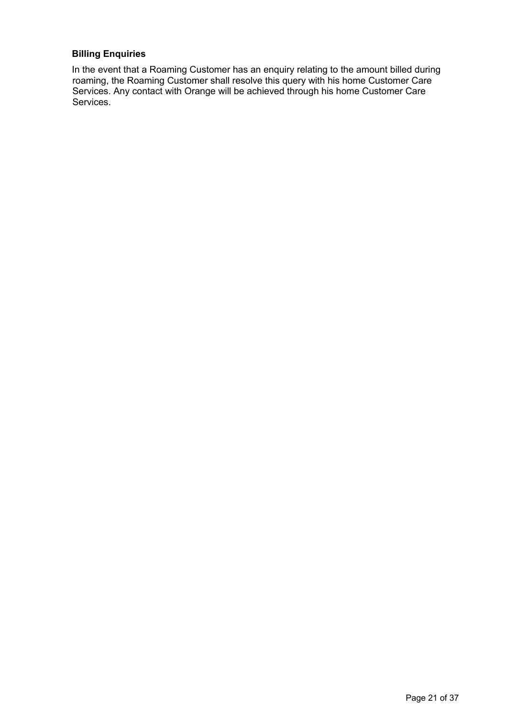### **Billing Enquiries**

In the event that a Roaming Customer has an enquiry relating to the amount billed during roaming, the Roaming Customer shall resolve this query with his home Customer Care Services. Any contact with Orange will be achieved through his home Customer Care Services.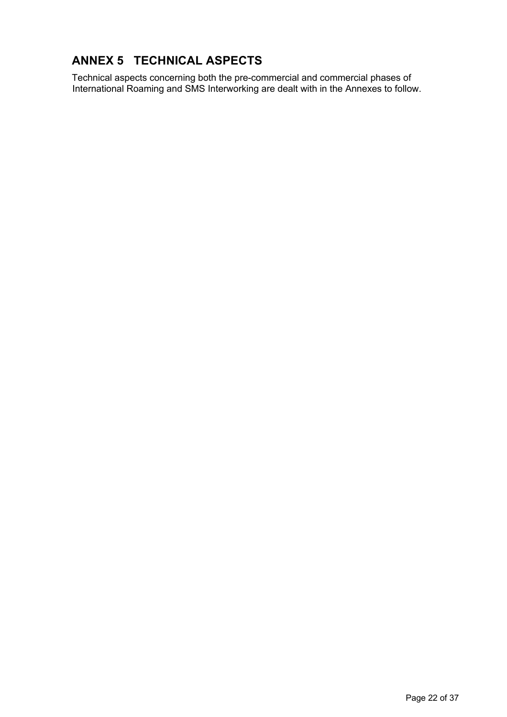# **ANNEX 5 TECHNICAL ASPECTS**

Technical aspects concerning both the pre-commercial and commercial phases of International Roaming and SMS Interworking are dealt with in the Annexes to follow.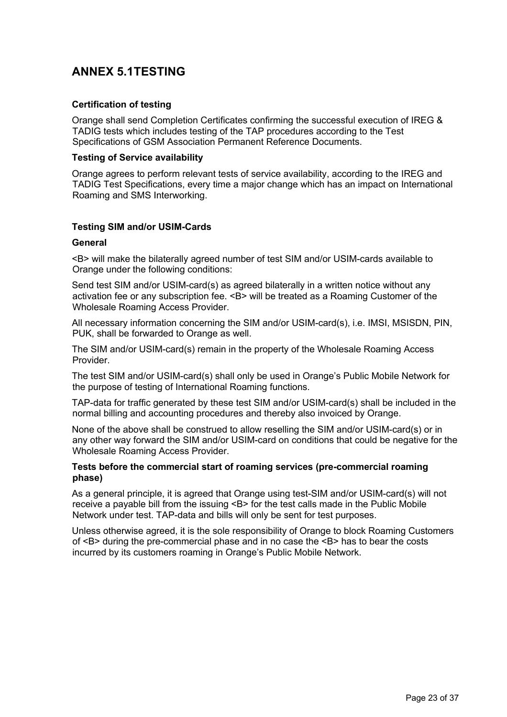# **ANNEX 5.1TESTING**

### **Certification of testing**

Orange shall send Completion Certificates confirming the successful execution of IREG & TADIG tests which includes testing of the TAP procedures according to the Test Specifications of GSM Association Permanent Reference Documents.

#### **Testing of Service availability**

Orange agrees to perform relevant tests of service availability, according to the IREG and TADIG Test Specifications, every time a major change which has an impact on International Roaming and SMS Interworking.

#### **Testing SIM and/or USIM-Cards**

#### **General**

<B> will make the bilaterally agreed number of test SIM and/or USIM-cards available to Orange under the following conditions:

Send test SIM and/or USIM-card(s) as agreed bilaterally in a written notice without any activation fee or any subscription fee. <B> will be treated as a Roaming Customer of the Wholesale Roaming Access Provider.

All necessary information concerning the SIM and/or USIM-card(s), i.e. IMSI, MSISDN, PIN, PUK, shall be forwarded to Orange as well.

The SIM and/or USIM-card(s) remain in the property of the Wholesale Roaming Access Provider.

The test SIM and/or USIM-card(s) shall only be used in Orange's Public Mobile Network for the purpose of testing of International Roaming functions.

TAP-data for traffic generated by these test SIM and/or USIM-card(s) shall be included in the normal billing and accounting procedures and thereby also invoiced by Orange.

None of the above shall be construed to allow reselling the SIM and/or USIM-card(s) or in any other way forward the SIM and/or USIM-card on conditions that could be negative for the Wholesale Roaming Access Provider.

#### **Tests before the commercial start of roaming services (pre-commercial roaming phase)**

As a general principle, it is agreed that Orange using test-SIM and/or USIM-card(s) will not receive a payable bill from the issuing <B> for the test calls made in the Public Mobile Network under test. TAP-data and bills will only be sent for test purposes.

Unless otherwise agreed, it is the sole responsibility of Orange to block Roaming Customers of <B> during the pre-commercial phase and in no case the <B> has to bear the costs incurred by its customers roaming in Orange's Public Mobile Network.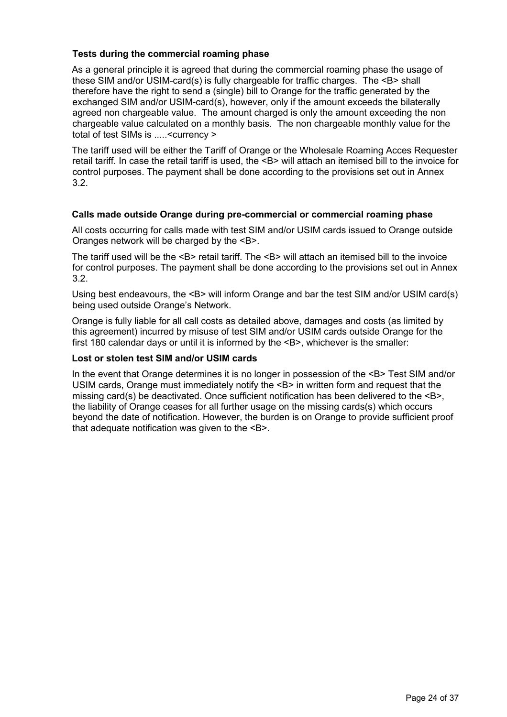### **Tests during the commercial roaming phase**

As a general principle it is agreed that during the commercial roaming phase the usage of these SIM and/or USIM-card(s) is fully chargeable for traffic charges. The <B> shall therefore have the right to send a (single) bill to Orange for the traffic generated by the exchanged SIM and/or USIM-card(s), however, only if the amount exceeds the bilaterally agreed non chargeable value. The amount charged is only the amount exceeding the non chargeable value calculated on a monthly basis. The non chargeable monthly value for the total of test SIMs is .....<currency >

The tariff used will be either the Tariff of Orange or the Wholesale Roaming Acces Requester retail tariff. In case the retail tariff is used, the <B> will attach an itemised bill to the invoice for control purposes. The payment shall be done according to the provisions set out in Annex 3.2.

#### **Calls made outside Orange during pre-commercial or commercial roaming phase**

All costs occurring for calls made with test SIM and/or USIM cards issued to Orange outside Oranges network will be charged by the <B>.

The tariff used will be the <B> retail tariff. The <B> will attach an itemised bill to the invoice for control purposes. The payment shall be done according to the provisions set out in Annex 3.2.

Using best endeavours, the <B> will inform Orange and bar the test SIM and/or USIM card(s) being used outside Orange's Network.

Orange is fully liable for all call costs as detailed above, damages and costs (as limited by this agreement) incurred by misuse of test SIM and/or USIM cards outside Orange for the first 180 calendar days or until it is informed by the <B>, whichever is the smaller:

#### **Lost or stolen test SIM and/or USIM cards**

In the event that Orange determines it is no longer in possession of the <B>Test SIM and/or USIM cards, Orange must immediately notify the <B> in written form and request that the missing card(s) be deactivated. Once sufficient notification has been delivered to the <B>, the liability of Orange ceases for all further usage on the missing cards(s) which occurs beyond the date of notification. However, the burden is on Orange to provide sufficient proof that adequate notification was given to the <B>.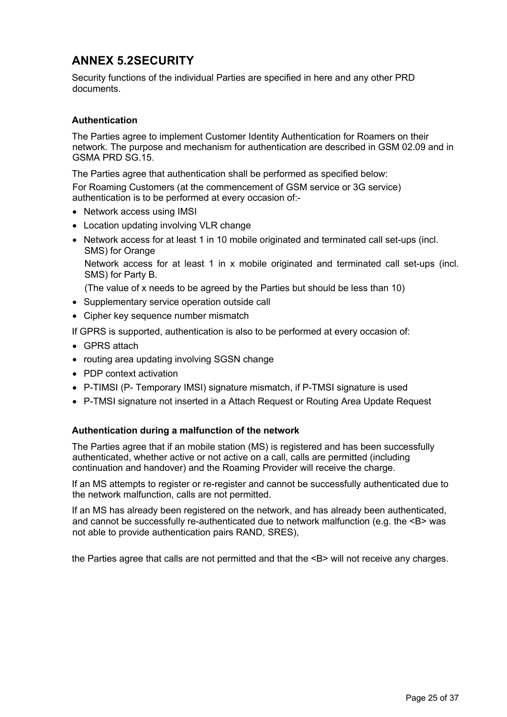# **ANNEX 5.2SECURITY**

Security functions of the individual Parties are specified in here and any other PRD documents.

### **Authentication**

The Parties agree to implement Customer Identity Authentication for Roamers on their network. The purpose and mechanism for authentication are described in GSM 02.09 and in GSMA PRD SG.15.

The Parties agree that authentication shall be performed as specified below:

For Roaming Customers (at the commencement of GSM service or 3G service) authentication is to be performed at every occasion of:-

- Network access using IMSI
- Location updating involving VLR change
- Network access for at least 1 in 10 mobile originated and terminated call set-ups (incl. SMS) for Orange

Network access for at least 1 in x mobile originated and terminated call set-ups (incl. SMS) for Party B.

(The value of x needs to be agreed by the Parties but should be less than 10)

- Supplementary service operation outside call
- Cipher key sequence number mismatch

If GPRS is supported, authentication is also to be performed at every occasion of:

- GPRS attach
- routing area updating involving SGSN change
- PDP context activation
- P-TIMSI (P- Temporary IMSI) signature mismatch, if P-TMSI signature is used
- P-TMSI signature not inserted in a Attach Request or Routing Area Update Request

#### **Authentication during a malfunction of the network**

The Parties agree that if an mobile station (MS) is registered and has been successfully authenticated, whether active or not active on a call, calls are permitted (including continuation and handover) and the Roaming Provider will receive the charge.

If an MS attempts to register or re-register and cannot be successfully authenticated due to the network malfunction, calls are not permitted.

If an MS has already been registered on the network, and has already been authenticated, and cannot be successfully re-authenticated due to network malfunction (e.g. the <B> was not able to provide authentication pairs RAND, SRES),

the Parties agree that calls are not permitted and that the <B> will not receive any charges.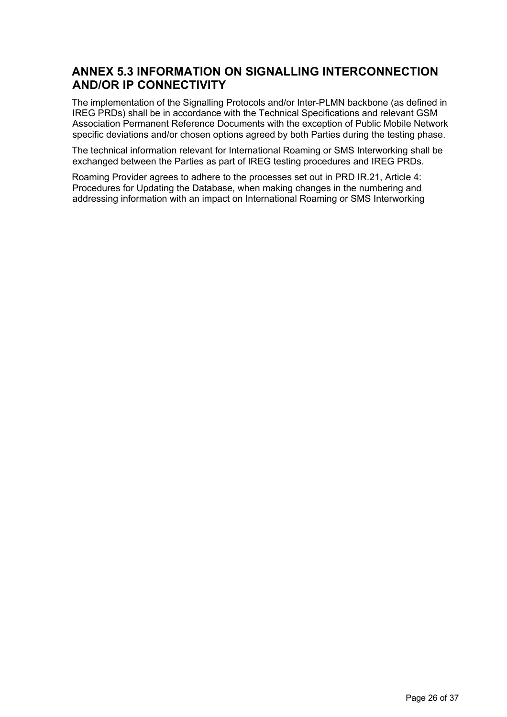# **ANNEX 5.3 INFORMATION ON SIGNALLING INTERCONNECTION AND/OR IP CONNECTIVITY**

The implementation of the Signalling Protocols and/or Inter-PLMN backbone (as defined in IREG PRDs) shall be in accordance with the Technical Specifications and relevant GSM Association Permanent Reference Documents with the exception of Public Mobile Network specific deviations and/or chosen options agreed by both Parties during the testing phase.

The technical information relevant for International Roaming or SMS Interworking shall be exchanged between the Parties as part of IREG testing procedures and IREG PRDs.

Roaming Provider agrees to adhere to the processes set out in PRD IR.21, Article 4: Procedures for Updating the Database, when making changes in the numbering and addressing information with an impact on International Roaming or SMS Interworking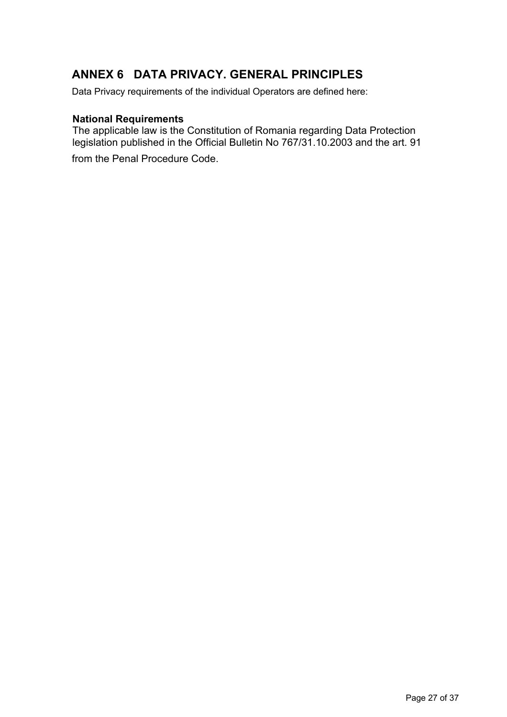# **ANNEX 6 DATA PRIVACY. GENERAL PRINCIPLES**

Data Privacy requirements of the individual Operators are defined here:

## **National Requirements**

The applicable law is the Constitution of Romania regarding Data Protection legislation published in the Official Bulletin No 767/31.10.2003 and the art. 91

from the Penal Procedure Code.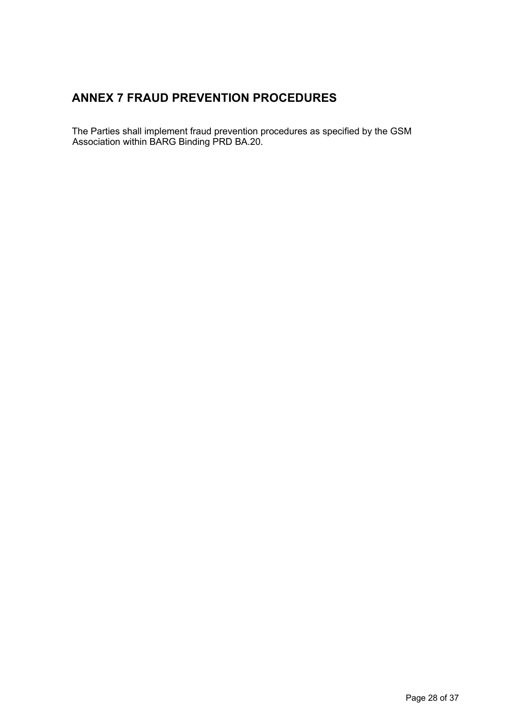# **ANNEX 7 FRAUD PREVENTION PROCEDURES**

The Parties shall implement fraud prevention procedures as specified by the GSM Association within BARG Binding PRD BA.20.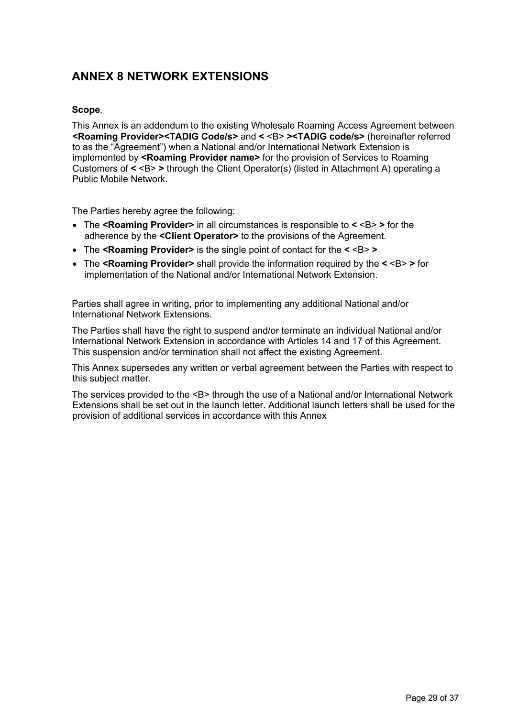# **ANNEX 8 NETWORK EXTENSIONS**

### **Scope**.

This Annex is an addendum to the existing Wholesale Roaming Access Agreement between **<Roaming Provider><TADIG Code/s>** and **<** <B> **><TADIG code/s>** (hereinafter referred to as the "Agreement") when a National and/or International Network Extension is implemented by **<Roaming Provider name>** for the provision of Services to Roaming Customers of **<** <B> **>** through the Client Operator(s) (listed in Attachment A) operating a Public Mobile Network.

The Parties hereby agree the following:

- The **<Roaming Provider>** in all circumstances is responsible to **<** <B> **>** for the adherence by the **<Client Operator>** to the provisions of the Agreement.
- The **<Roaming Provider>** is the single point of contact for the **<** <B> **>**
- The **<Roaming Provider>** shall provide the information required by the **<** <B> **>** for implementation of the National and/or International Network Extension.

Parties shall agree in writing, prior to implementing any additional National and/or International Network Extensions.

The Parties shall have the right to suspend and/or terminate an individual National and/or International Network Extension in accordance with Articles 14 and 17 of this Agreement. This suspension and/or termination shall not affect the existing Agreement.

This Annex supersedes any written or verbal agreement between the Parties with respect to this subject matter.

The services provided to the <B> through the use of a National and/or International Network Extensions shall be set out in the launch letter. Additional launch letters shall be used for the provision of additional services in accordance with this Annex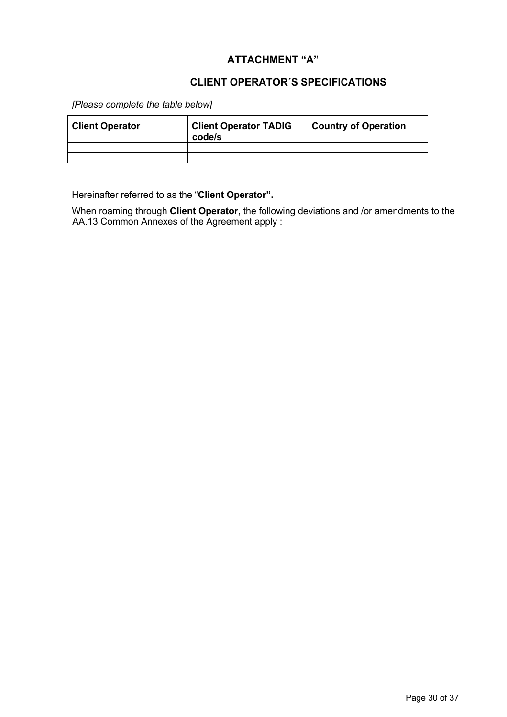## **ATTACHMENT "A"**

## **CLIENT OPERATOR´S SPECIFICATIONS**

*[Please complete the table below]*

| <b>Client Operator</b> | <b>Client Operator TADIG</b><br>code/s | <b>Country of Operation</b> |
|------------------------|----------------------------------------|-----------------------------|
|                        |                                        |                             |
|                        |                                        |                             |

Hereinafter referred to as the "**Client Operator".**

When roaming through **Client Operator,** the following deviations and /or amendments to the AA.13 Common Annexes of the Agreement apply :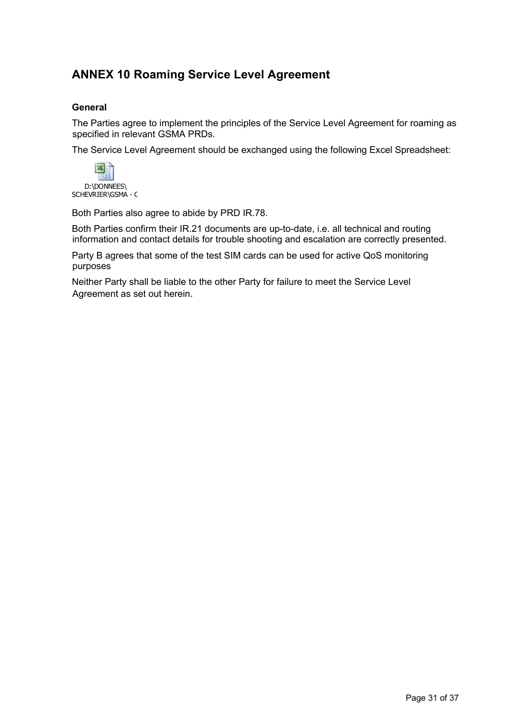# **ANNEX 10 Roaming Service Level Agreement**

### **General**

The Parties agree to implement the principles of the Service Level Agreement for roaming as specified in relevant GSMA PRDs.

The Service Level Agreement should be exchanged using the following Excel Spreadsheet:



Both Parties also agree to abide by PRD IR.78.

Both Parties confirm their IR.21 documents are up-to-date, i.e. all technical and routing information and contact details for trouble shooting and escalation are correctly presented.

Party B agrees that some of the test SIM cards can be used for active QoS monitoring purposes

Neither Party shall be liable to the other Party for failure to meet the Service Level Agreement as set out herein.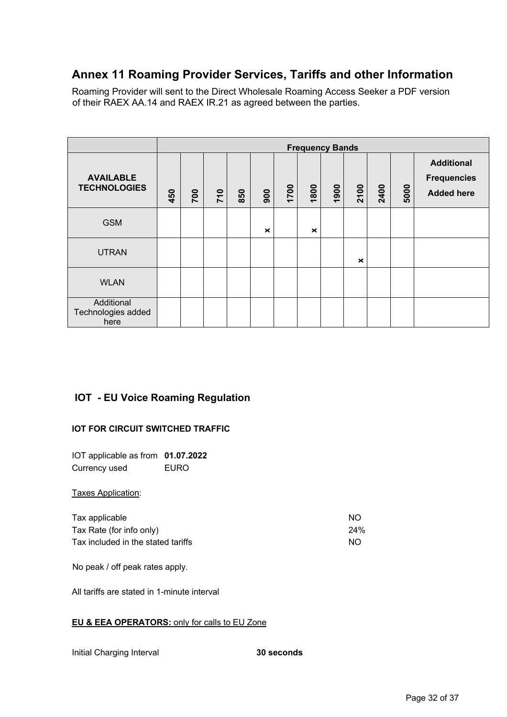# **Annex 11 Roaming Provider Services, Tariffs and other Information**

Roaming Provider will sent to the Direct Wholesale Roaming Access Seeker a PDF version of their RAEX AA.14 and RAEX IR.21 as agreed between the parties.

|                                          |     | <b>Frequency Bands</b> |     |     |          |      |          |      |          |      |      |                                                              |
|------------------------------------------|-----|------------------------|-----|-----|----------|------|----------|------|----------|------|------|--------------------------------------------------------------|
| <b>AVAILABLE</b><br><b>TECHNOLOGIES</b>  | 450 | 700                    | 710 | 850 | 900      | 1700 | 1800     | 1900 | 2100     | 2400 | 5000 | <b>Additional</b><br><b>Frequencies</b><br><b>Added here</b> |
| <b>GSM</b>                               |     |                        |     |     | $\times$ |      | $\times$ |      |          |      |      |                                                              |
| <b>UTRAN</b>                             |     |                        |     |     |          |      |          |      | $\times$ |      |      |                                                              |
| <b>WLAN</b>                              |     |                        |     |     |          |      |          |      |          |      |      |                                                              |
| Additional<br>Technologies added<br>here |     |                        |     |     |          |      |          |      |          |      |      |                                                              |

## **IOT - EU Voice Roaming Regulation**

#### **IOT FOR CIRCUIT SWITCHED TRAFFIC**

IOT applicable as from **01.07.2022** Currency used EURO

Taxes Application:

| Tax applicable                     | -NO |
|------------------------------------|-----|
| Tax Rate (for info only)           | 24% |
| Tax included in the stated tariffs | NO. |

No peak / off peak rates apply.

All tariffs are stated in 1-minute interval

#### **EU & EEA OPERATORS:** only for calls to EU Zone

Initial Charging Interval **30 seconds**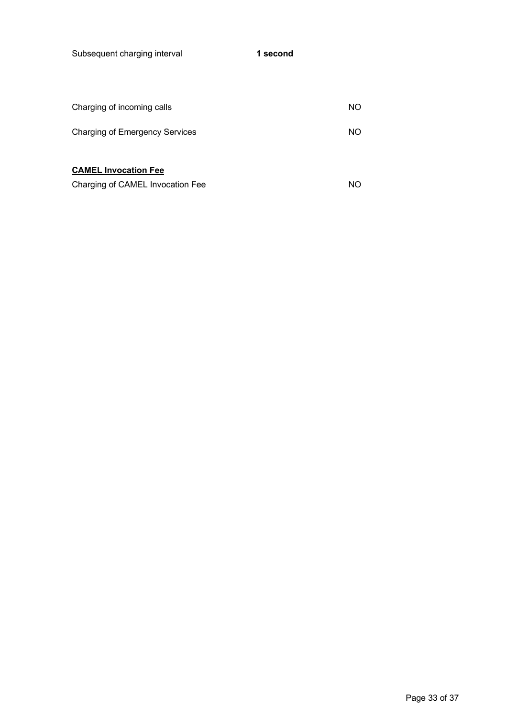Subsequent charging interval **1 second**

| Charging of incoming calls            | NO. |
|---------------------------------------|-----|
| <b>Charging of Emergency Services</b> | NO. |
|                                       |     |
| <b>CAMEL Invocation Fee</b>           |     |
| Charging of CAMEL Invocation Fee      | NΟ  |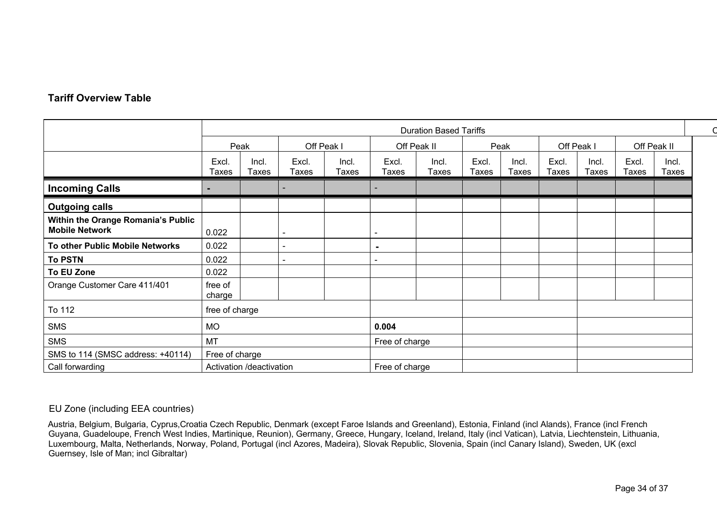## **Tariff Overview Table**

|                                                             |                          | <b>Duration Based Tariffs</b> |                          |                       |                |                |                |                |                |                       |                             |                |  |
|-------------------------------------------------------------|--------------------------|-------------------------------|--------------------------|-----------------------|----------------|----------------|----------------|----------------|----------------|-----------------------|-----------------------------|----------------|--|
|                                                             | Off Peak I<br>Peak       |                               |                          |                       |                | Off Peak II    |                | Peak           |                | Off Peak I            |                             | Off Peak II    |  |
|                                                             | Excl<br>Taxes            | Incl.<br>Taxes                | Excl.<br>Taxes           | Incl.<br><b>Taxes</b> | Excl.<br>Taxes | Incl.<br>Taxes | Excl.<br>Taxes | Incl.<br>Taxes | Excl.<br>Taxes | Incl.<br><b>Taxes</b> | <b>Excl</b><br><b>Taxes</b> | Incl.<br>Taxes |  |
| <b>Incoming Calls</b>                                       |                          |                               |                          |                       |                |                |                |                |                |                       |                             |                |  |
| <b>Outgoing calls</b>                                       |                          |                               |                          |                       |                |                |                |                |                |                       |                             |                |  |
| Within the Orange Romania's Public<br><b>Mobile Network</b> | 0.022                    |                               | $\overline{\phantom{0}}$ |                       |                |                |                |                |                |                       |                             |                |  |
| To other Public Mobile Networks                             | 0.022                    |                               | $\blacksquare$           |                       |                |                |                |                |                |                       |                             |                |  |
| <b>To PSTN</b>                                              | 0.022                    |                               | $\overline{\phantom{0}}$ |                       |                |                |                |                |                |                       |                             |                |  |
| To EU Zone                                                  | 0.022                    |                               |                          |                       |                |                |                |                |                |                       |                             |                |  |
| Orange Customer Care 411/401                                | free of<br>charge        |                               |                          |                       |                |                |                |                |                |                       |                             |                |  |
| To 112                                                      | free of charge           |                               |                          |                       |                |                |                |                |                |                       |                             |                |  |
| SMS                                                         | <b>MO</b>                |                               |                          |                       | 0.004          |                |                |                |                |                       |                             |                |  |
| SMS                                                         | <b>MT</b>                |                               |                          |                       | Free of charge |                |                |                |                |                       |                             |                |  |
| SMS to 114 (SMSC address: +40114)                           | Free of charge           |                               |                          |                       |                |                |                |                |                |                       |                             |                |  |
| Call forwarding                                             | Activation /deactivation |                               |                          |                       | Free of charge |                |                |                |                |                       |                             |                |  |

#### EU Zone (including EEA countries)

Austria, Belgium, Bulgaria, Cyprus,Croatia Czech Republic, Denmark (except Faroe Islands and Greenland), Estonia, Finland (incl Alands), France (incl French Guyana, Guadeloupe, French West Indies, Martinique, Reunion), Germany, Greece, Hungary, Iceland, Ireland, Italy (incl Vatican), Latvia, Liechtenstein, Lithuania, Luxembourg, Malta, Netherlands, Norway, Poland, Portugal (incl Azores, Madeira), Slovak Republic, Slovenia, Spain (incl Canary Island), Sweden, UK (excl Guernsey, Isle of Man; incl Gibraltar)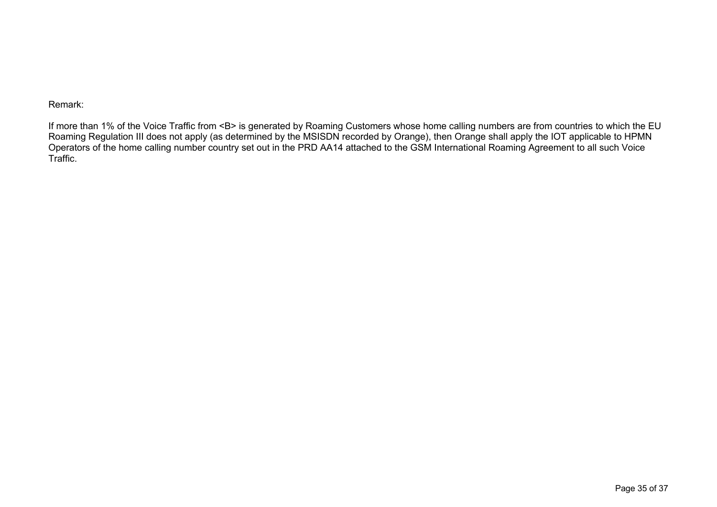Remark:

If more than 1% of the Voice Traffic from <B> is generated by Roaming Customers whose home calling numbers are from countries to which the EU Roaming Regulation III does not apply (as determined by the MSISDN recorded by Orange), then Orange shall apply the IOT applicable to HPMN Operators of the home calling number country set out in the PRD AA14 attached to the GSM International Roaming Agreement to all such Voice Traffic.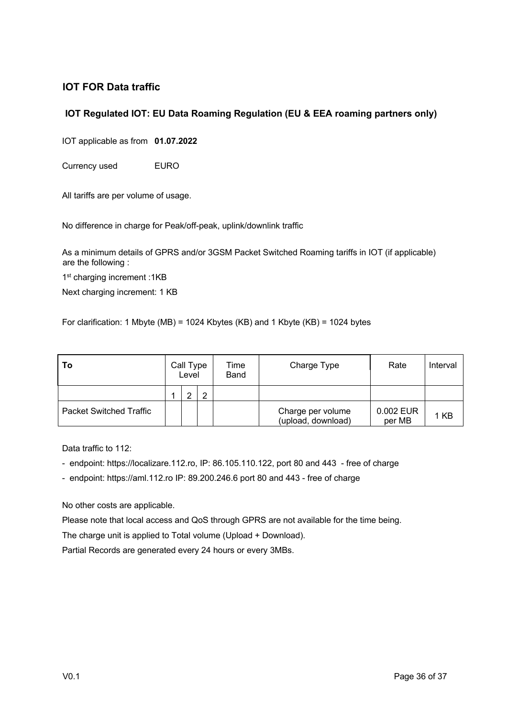## **IOT FOR Data traffic**

### **IOT Regulated IOT: EU Data Roaming Regulation (EU & EEA roaming partners only)**

IOT applicable as from **01.07.2022**

Currency used EURO

All tariffs are per volume of usage.

No difference in charge for Peak/off-peak, uplink/downlink traffic

As a minimum details of GPRS and/or 3GSM Packet Switched Roaming tariffs in IOT (if applicable) are the following :

1st charging increment :1KB

Next charging increment: 1 KB

For clarification: 1 Mbyte (MB) = 1024 Kbytes (KB) and 1 Kbyte (KB) = 1024 bytes

| l To                           | Call Type<br>Level |   |   | Time<br><b>Band</b> | Charge Type                             | Rate                | Interval |
|--------------------------------|--------------------|---|---|---------------------|-----------------------------------------|---------------------|----------|
|                                |                    | ⌒ | ◠ |                     |                                         |                     |          |
| <b>Packet Switched Traffic</b> |                    |   |   |                     | Charge per volume<br>(upload, download) | 0.002 EUR<br>per MB | 1 KB     |

Data traffic to 112:

- endpoint: https://localizare.112.ro, IP: 86.105.110.122, port 80 and 443 free of charge
- endpoint: https://aml.112.ro IP: 89.200.246.6 port 80 and 443 free of charge

No other costs are applicable.

Please note that local access and QoS through GPRS are not available for the time being.

The charge unit is applied to Total volume (Upload + Download).

Partial Records are generated every 24 hours or every 3MBs.